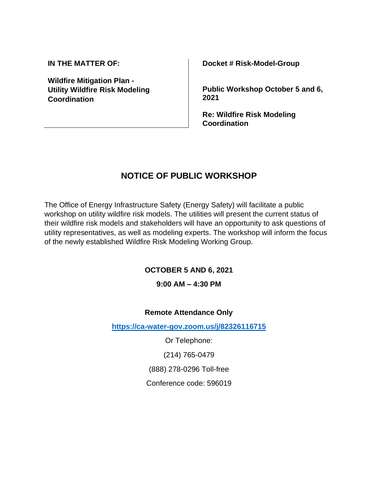**IN THE MATTER OF:**

**Wildfire Mitigation Plan - Utility Wildfire Risk Modeling Coordination**

**Docket # Risk-Model-Group**

**Public Workshop October 5 and 6, 2021**

**Re: Wildfire Risk Modeling Coordination**

# **NOTICE OF PUBLIC WORKSHOP**

The Office of Energy Infrastructure Safety (Energy Safety) will facilitate a public workshop on utility wildfire risk models. The utilities will present the current status of their wildfire risk models and stakeholders will have an opportunity to ask questions of utility representatives, as well as modeling experts. The workshop will inform the focus of the newly established Wildfire Risk Modeling Working Group.

#### **OCTOBER 5 AND 6, 2021**

#### **9:00 AM – 4:30 PM**

#### **Remote Attendance Only**

**<https://ca-water-gov.zoom.us/j/82326116715>**

Or Telephone:

(214) 765-0479

(888) 278-0296 Toll-free

Conference code: 596019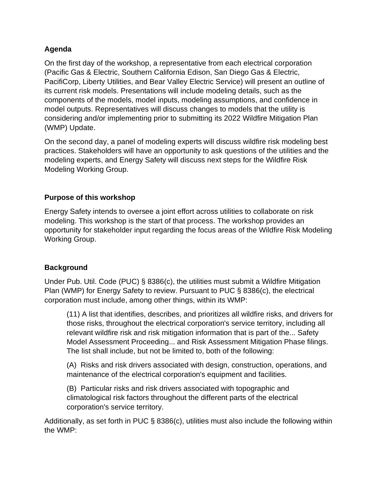## **Agenda**

On the first day of the workshop, a representative from each electrical corporation (Pacific Gas & Electric, Southern California Edison, San Diego Gas & Electric, PacifiCorp, Liberty Utilities, and Bear Valley Electric Service) will present an outline of its current risk models. Presentations will include modeling details, such as the components of the models, model inputs, modeling assumptions, and confidence in model outputs. Representatives will discuss changes to models that the utility is considering and/or implementing prior to submitting its 2022 Wildfire Mitigation Plan (WMP) Update.

On the second day, a panel of modeling experts will discuss wildfire risk modeling best practices. Stakeholders will have an opportunity to ask questions of the utilities and the modeling experts, and Energy Safety will discuss next steps for the Wildfire Risk Modeling Working Group.

#### **Purpose of this workshop**

Energy Safety intends to oversee a joint effort across utilities to collaborate on risk modeling. This workshop is the start of that process. The workshop provides an opportunity for stakeholder input regarding the focus areas of the Wildfire Risk Modeling Working Group.

#### **Background**

Under Pub. Util. Code (PUC) § 8386(c), the utilities must submit a Wildfire Mitigation Plan (WMP) for Energy Safety to review. Pursuant to PUC § 8386(c), the electrical corporation must include, among other things, within its WMP:

(11) A list that identifies, describes, and prioritizes all wildfire risks, and drivers for those risks, throughout the electrical corporation's service territory, including all relevant wildfire risk and risk mitigation information that is part of the... Safety Model Assessment Proceeding... and Risk Assessment Mitigation Phase filings. The list shall include, but not be limited to, both of the following:

(A) Risks and risk drivers associated with design, construction, operations, and maintenance of the electrical corporation's equipment and facilities.

(B) Particular risks and risk drivers associated with topographic and climatological risk factors throughout the different parts of the electrical corporation's service territory.

Additionally, as set forth in PUC § 8386(c), utilities must also include the following within the WMP: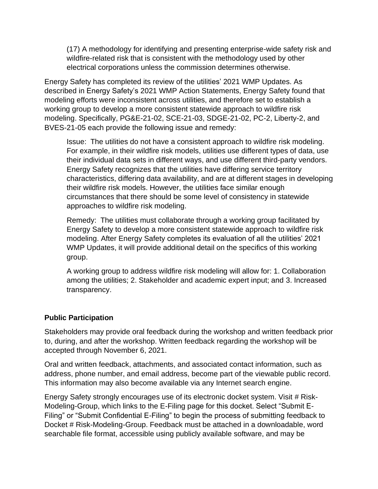(17) A methodology for identifying and presenting enterprise-wide safety risk and wildfire-related risk that is consistent with the methodology used by other electrical corporations unless the commission determines otherwise.

Energy Safety has completed its review of the utilities' 2021 WMP Updates. As described in Energy Safety's 2021 WMP Action Statements, Energy Safety found that modeling efforts were inconsistent across utilities, and therefore set to establish a working group to develop a more consistent statewide approach to wildfire risk modeling. Specifically, PG&E-21-02, SCE-21-03, SDGE-21-02, PC-2, Liberty-2, and BVES-21-05 each provide the following issue and remedy:

Issue: The utilities do not have a consistent approach to wildfire risk modeling. For example, in their wildfire risk models, utilities use different types of data, use their individual data sets in different ways, and use different third-party vendors. Energy Safety recognizes that the utilities have differing service territory characteristics, differing data availability, and are at different stages in developing their wildfire risk models. However, the utilities face similar enough circumstances that there should be some level of consistency in statewide approaches to wildfire risk modeling.

Remedy: The utilities must collaborate through a working group facilitated by Energy Safety to develop a more consistent statewide approach to wildfire risk modeling. After Energy Safety completes its evaluation of all the utilities' 2021 WMP Updates, it will provide additional detail on the specifics of this working group.

A working group to address wildfire risk modeling will allow for: 1. Collaboration among the utilities; 2. Stakeholder and academic expert input; and 3. Increased transparency.

#### **Public Participation**

Stakeholders may provide oral feedback during the workshop and written feedback prior to, during, and after the workshop. Written feedback regarding the workshop will be accepted through November 6, 2021.

Oral and written feedback, attachments, and associated contact information, such as address, phone number, and email address, become part of the viewable public record. This information may also become available via any Internet search engine.

Energy Safety strongly encourages use of its electronic docket system. Visit # Risk-Modeling-Group, which links to the E-Filing page for this docket. Select "Submit E-Filing" or "Submit Confidential E-Filing" to begin the process of submitting feedback to Docket # Risk-Modeling-Group. Feedback must be attached in a downloadable, word searchable file format, accessible using publicly available software, and may be